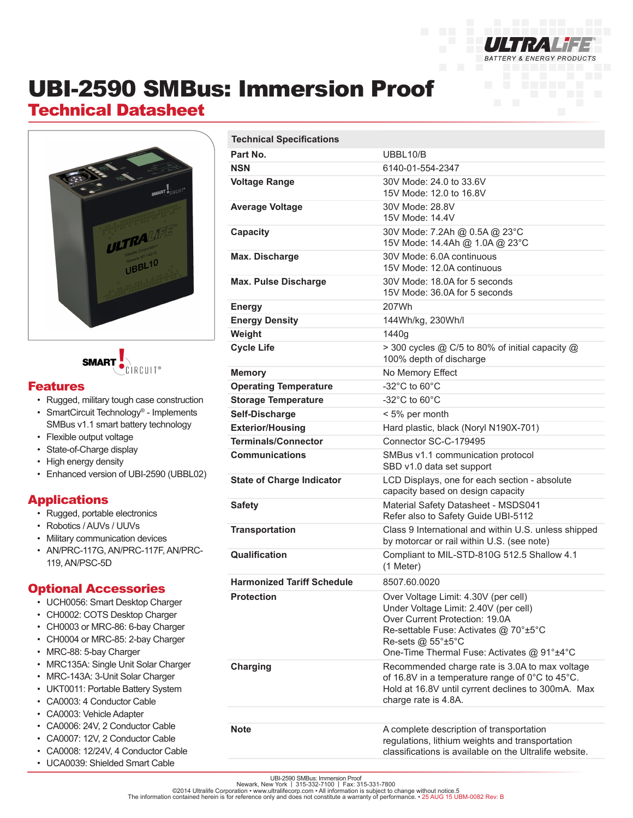

# UBI-2590 SMBus: Immersion Proof

# Technical Datasheet



**SMART** ÌRCUIT®

#### Features

- Rugged, military tough case construction
- SmartCircuit Technology® Implements SMBus v1.1 smart battery technology
- Flexible output voltage
- State-of-Charge display
- High energy density
- Enhanced version of UBI-2590 (UBBL02)

### Applications

- Rugged, portable electronics
- Robotics / AUVs / UUVs
- Military communication devices
- AN/PRC-117G, AN/PRC-117F, AN/PRC-119, AN/PSC-5D

#### Optional Accessories

- UCH0056: Smart Desktop Charger
- CH0002: COTS Desktop Charger
- CH0003 or MRC-86: 6-bay Charger
- CH0004 or MRC-85: 2-bay Charger
- MRC-88: 5-bay Charger
- MRC135A: Single Unit Solar Charger
- MRC-143A: 3-Unit Solar Charger
- UKT0011: Portable Battery System
- CA0003: 4 Conductor Cable
- CA0003: Vehicle Adapter
- CA0006: 24V, 2 Conductor Cable
- CA0007: 12V, 2 Conductor Cable
- CA0008: 12/24V, 4 Conductor Cable
- UCA0039: Shielded Smart Cable

| <b>Technical Specifications</b>   |                                                                                                                                                                                                                                                     |
|-----------------------------------|-----------------------------------------------------------------------------------------------------------------------------------------------------------------------------------------------------------------------------------------------------|
| Part No.                          | UBBL10/B                                                                                                                                                                                                                                            |
| <b>NSN</b>                        | 6140-01-554-2347                                                                                                                                                                                                                                    |
| <b>Voltage Range</b>              | 30V Mode: 24.0 to 33.6V<br>15V Mode: 12.0 to 16.8V                                                                                                                                                                                                  |
| <b>Average Voltage</b>            | 30V Mode: 28.8V<br>15V Mode: 14.4V                                                                                                                                                                                                                  |
| Capacity                          | 30V Mode: 7.2Ah @ 0.5A @ 23°C<br>15V Mode: 14.4Ah @ 1.0A @ 23°C                                                                                                                                                                                     |
| Max. Discharge                    | 30V Mode: 6.0A continuous<br>15V Mode: 12.0A continuous                                                                                                                                                                                             |
| <b>Max. Pulse Discharge</b>       | 30V Mode: 18.0A for 5 seconds<br>15V Mode: 36.0A for 5 seconds                                                                                                                                                                                      |
| <b>Energy</b>                     | 207Wh                                                                                                                                                                                                                                               |
| <b>Energy Density</b>             | 144Wh/kg, 230Wh/l                                                                                                                                                                                                                                   |
| Weight                            | 1440g                                                                                                                                                                                                                                               |
| <b>Cycle Life</b>                 | > 300 cycles @ C/5 to 80% of initial capacity @<br>100% depth of discharge                                                                                                                                                                          |
| <b>Memory</b>                     | No Memory Effect                                                                                                                                                                                                                                    |
| <b>Operating Temperature</b>      | $-32^{\circ}$ C to 60 $^{\circ}$ C                                                                                                                                                                                                                  |
| <b>Storage Temperature</b>        | $-32^{\circ}$ C to 60 $^{\circ}$ C                                                                                                                                                                                                                  |
| Self-Discharge                    | < 5% per month                                                                                                                                                                                                                                      |
| <b>Exterior/Housing</b>           | Hard plastic, black (Noryl N190X-701)                                                                                                                                                                                                               |
| <b>Terminals/Connector</b>        | Connector SC-C-179495                                                                                                                                                                                                                               |
| <b>Communications</b>             | SMBus v1.1 communication protocol<br>SBD v1.0 data set support                                                                                                                                                                                      |
| <b>State of Charge Indicator</b>  | LCD Displays, one for each section - absolute<br>capacity based on design capacity                                                                                                                                                                  |
| <b>Safety</b>                     | Material Safety Datasheet - MSDS041<br>Refer also to Safety Guide UBI-5112                                                                                                                                                                          |
| <b>Transportation</b>             | Class 9 International and within U.S. unless shipped<br>by motorcar or rail within U.S. (see note)                                                                                                                                                  |
| <b>Qualification</b>              | Compliant to MIL-STD-810G 512.5 Shallow 4.1<br>(1 Meter)                                                                                                                                                                                            |
| <b>Harmonized Tariff Schedule</b> | 8507.60.0020                                                                                                                                                                                                                                        |
| <b>Protection</b>                 | Over Voltage Limit: 4.30V (per cell)<br>Under Voltage Limit: 2.40V (per cell)<br>Over Current Protection: 19.0A<br>Re-settable Fuse: Activates @ 70°±5°C<br>Re-sets $@$ 55 $^{\circ}$ ±5 $^{\circ}$ C<br>One-Time Thermal Fuse: Activates @ 91°±4°C |
| Charging                          | Recommended charge rate is 3.0A to max voltage<br>of 16.8V in a temperature range of 0°C to 45°C.<br>Hold at 16.8V until cyrrent declines to 300mA. Max<br>charge rate is 4.8A.                                                                     |
|                                   |                                                                                                                                                                                                                                                     |
| <b>Note</b>                       | A complete description of transportation<br>regulations, lithium weights and transportation<br>classifications is available on the Ultralife website.                                                                                               |

UBI-2590 SMBus: Immersion Proof<br>©2014 Ultralife Corporation • www.ultralifecorp.com • All information is subject to change without notice 5<br>The information contained herein is for reference only and does not constitute a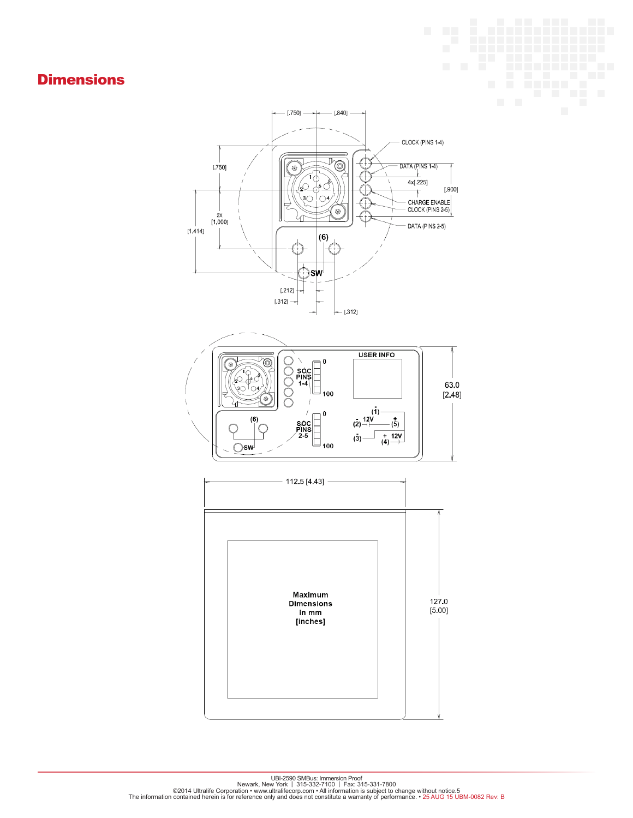## **Dimensions**